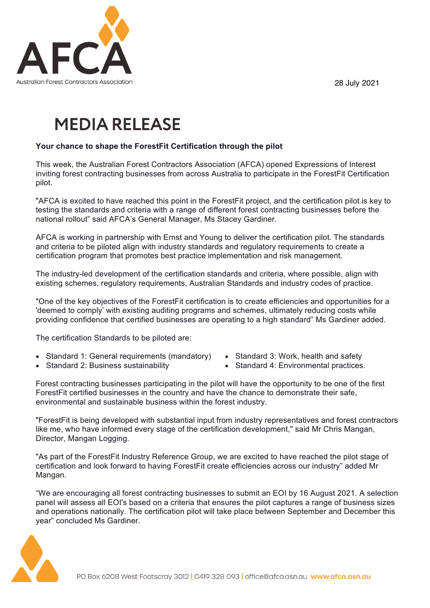28 July 2021



## **MEDIA RELEASE**

## **Your chance to shape the ForestFit Certification through the pilot**

This week, the Australian Forest Contractors Association (AFCA) opened Expressions of Interest inviting forest contracting businesses from across Australia to participate in the ForestFit Certification pilot.

"AFCA is excited to have reached this point in the ForestFit project, and the certification pilot is key to testing the standards and criteria with a range of different forest contracting businesses before the national rollout" said AFCA's General Manager, Ms Stacey Gardiner.

AFCA is working in partnership with Ernst and Young to deliver the certification pilot. The standards and criteria to be piloted align with industry standards and regulatory requirements to create a certification program that promotes best practice implementation and risk management.

The industry-led development of the certification standards and criteria, where possible, align with existing schemes, regulatory requirements, Australian Standards and industry codes of practice.

"One of the key objectives of the ForestFit certification is to create efficiencies and opportunities for a 'deemed to comply' with existing auditing programs and schemes, ultimately reducing costs while providing confidence that certified businesses are operating to a high standard" Ms Gardiner added.

The certification Standards to be piloted are:

- Standard 1: General requirements (mandatory)
- Standard 3: Work, health and safety
- Standard 2: Business sustainability
- Standard 4: Environmental practices.

Forest contracting businesses participating in the pilot will have the opportunity to be one of the first ForestFit certified businesses in the country and have the chance to demonstrate their safe, environmental and sustainable business within the forest industry.

"ForestFit is being developed with substantial input from industry representatives and forest contractors like me, who have informed every stage of the certification development," said Mr Chris Mangan, Director, Mangan Logging.

"As part of the ForestFit Industry Reference Group, we are excited to have reached the pilot stage of certification and look forward to having ForestFit create efficiencies across our industry" added Mr Mangan.

"We are encouraging all forest contracting businesses to submit an EOI by 16 August 2021. A selection panel will assess all EOI's based on a criteria that ensures the pilot captures a range of business sizes and operations nationally. The certification pilot will take place between September and December this year" concluded Ms Gardiner.